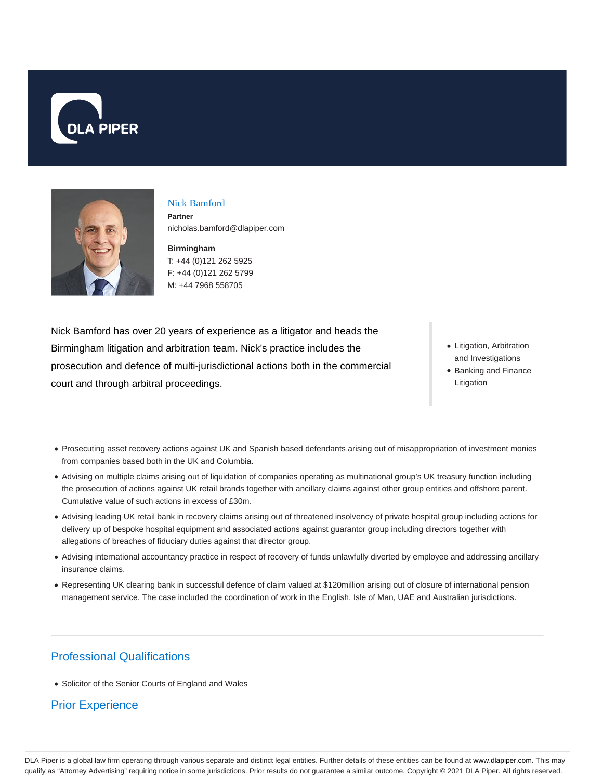



#### Nick Bamford

**Partner** nicholas.bamford@dlapiper.com

**Birmingham** T: +44 (0)121 262 5925 F: +44 (0)121 262 5799 M: +44 7968 558705

Nick Bamford has over 20 years of experience as a litigator and heads the Birmingham litigation and arbitration team. Nick's practice includes the prosecution and defence of multi-jurisdictional actions both in the commercial court and through arbitral proceedings.

- Litigation, Arbitration and Investigations
- Banking and Finance Litigation
- Prosecuting asset recovery actions against UK and Spanish based defendants arising out of misappropriation of investment monies from companies based both in the UK and Columbia.
- Advising on multiple claims arising out of liquidation of companies operating as multinational group's UK treasury function including the prosecution of actions against UK retail brands together with ancillary claims against other group entities and offshore parent. Cumulative value of such actions in excess of £30m.
- Advising leading UK retail bank in recovery claims arising out of threatened insolvency of private hospital group including actions for delivery up of bespoke hospital equipment and associated actions against guarantor group including directors together with allegations of breaches of fiduciary duties against that director group.
- Advising international accountancy practice in respect of recovery of funds unlawfully diverted by employee and addressing ancillary insurance claims.
- Representing UK clearing bank in successful defence of claim valued at \$120million arising out of closure of international pension management service. The case included the coordination of work in the English, Isle of Man, UAE and Australian jurisdictions.

## Professional Qualifications

• Solicitor of the Senior Courts of England and Wales

## Prior Experience